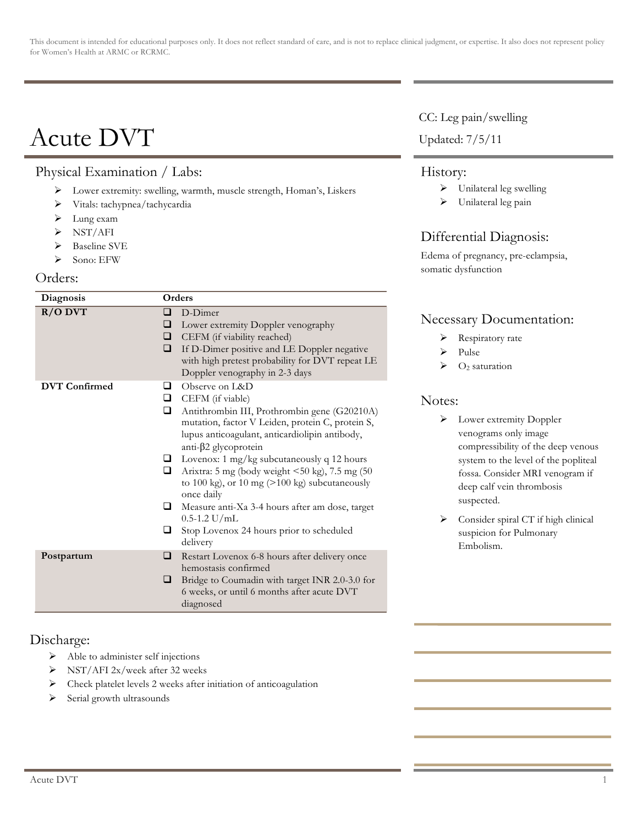This document is intended for educational purposes only. It does not reflect standard of care, and is not to replace clinical judgment, or expertise. It also does not represent policy for Women's Health at ARMC or RCRMC.

# Acute DVT

## Physical Examination / Labs:

- ! Lower extremity: swelling, warmth, muscle strength, Homan's, Liskers
- ! Vitals: tachypnea/tachycardia
- $\blacktriangleright$  Lung exam
- $\triangleright$  NST/AFI
- $\triangleright$  Baseline SVE
- $\triangleright$  Sono: EFW

#### Orders:

| Diagnosis            | Orders                                                                                                                                                                                                                                                                                                                                                                                                                                                                                                                                                                          |
|----------------------|---------------------------------------------------------------------------------------------------------------------------------------------------------------------------------------------------------------------------------------------------------------------------------------------------------------------------------------------------------------------------------------------------------------------------------------------------------------------------------------------------------------------------------------------------------------------------------|
| $R/O$ DVT            | D-Dimer<br>◻<br>❏<br>Lower extremity Doppler venography<br>CEFM (if viability reached)<br>❏<br>If D-Dimer positive and LE Doppler negative<br>❏<br>with high pretest probability for DVT repeat LE<br>Doppler venography in 2-3 days                                                                                                                                                                                                                                                                                                                                            |
| <b>DVT</b> Confirmed | Observe on L&D<br>□<br>CEFM (if viable)<br>$\Box$<br>$\Box$<br>Antithrombin III, Prothrombin gene (G20210A)<br>mutation, factor V Leiden, protein C, protein S,<br>lupus anticoagulant, anticardiolipin antibody,<br>anti- $\beta$ 2 glycoprotein<br>$\Box$ Lovenox: 1 mg/kg subcutaneously q 12 hours<br>Arixtra: 5 mg (body weight <50 kg), 7.5 mg (50<br>□<br>to 100 kg), or 10 mg $(>100 \text{ kg})$ subcutaneously<br>once daily<br>❏<br>Measure anti-Xa 3-4 hours after am dose, target<br>$0.5 - 1.2$ U/mL<br>Stop Lovenox 24 hours prior to scheduled<br>⊔<br>delivery |
| Postpartum           | ❏<br>Restart Lovenox 6-8 hours after delivery once<br>hemostasis confirmed<br>❏<br>Bridge to Coumadin with target INR 2.0-3.0 for<br>6 weeks, or until 6 months after acute DVT<br>diagnosed                                                                                                                                                                                                                                                                                                                                                                                    |

### Discharge:

- $\triangleright$  Able to administer self injections
- ! NST/AFI 2x/week after 32 weeks
- $\triangleright$  Check platelet levels 2 weeks after initiation of anticoagulation
- > Serial growth ultrasounds

#### CC: Leg pain/swelling

#### Updated: 7/5/11

#### History:

- $\triangleright$  Unilateral leg swelling
- $\triangleright$  Unilateral leg pain

## Differential Diagnosis:

Edema of pregnancy, pre-eclampsia, somatic dysfunction

## Necessary Documentation:

- > Respiratory rate
- ! Pulse
- $\triangleright$  O<sub>2</sub> saturation

## Notes:

- > Lower extremity Doppler venograms only image compressibility of the deep venous system to the level of the popliteal fossa. Consider MRI venogram if deep calf vein thrombosis suspected.
- $\triangleright$  Consider spiral CT if high clinical suspicion for Pulmonary Embolism.